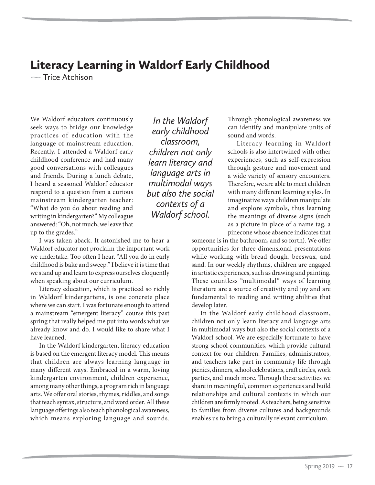## Literacy Learning in Waldorf Early Childhood

 $\sim$  Trice Atchison

We Waldorf educators continuously seek ways to bridge our knowledge practices of education with the language of mainstream education. Recently, I attended a Waldorf early childhood conference and had many good conversations with colleagues and friends. During a lunch debate, I heard a seasoned Waldorf educator respond to a question from a curious mainstream kindergarten teacher: "What do you do about reading and writing in kindergarten?" My colleague answered: "Oh, not much, we leave that up to the grades."

I was taken aback. It astonished me to hear a Waldorf educator not proclaim the important work we undertake. Too often I hear, "All you do in early childhood is bake and sweep." I believe it is time that we stand up and learn to express ourselves eloquently when speaking about our curriculum.

Literacy education, which is practiced so richly in Waldorf kindergartens, is one concrete place where we can start. I was fortunate enough to attend a mainstream "emergent literacy" course this past spring that really helped me put into words what we already know and do. I would like to share what I have learned.

In the Waldorf kindergarten, literacy education is based on the emergent literacy model. This means that children are always learning language in many different ways. Embraced in a warm, loving kindergarten environment, children experience, among many other things, a program rich in language arts. We offer oral stories, rhymes, riddles, and songs that teach syntax, structure, and word order. All these language offerings also teach phonological awareness, which means exploring language and sounds.

*In the Waldorf early childhood classroom, children not only learn literacy and language arts in multimodal ways but also the social contexts of a Waldorf school.*

Through phonological awareness we can identify and manipulate units of sound and words.

Literacy learning in Waldorf schools is also intertwined with other experiences, such as self-expression through gesture and movement and a wide variety of sensory encounters. Therefore, we are able to meet children with many different learning styles. In imaginative ways children manipulate and explore symbols, thus learning the meanings of diverse signs (such as a picture in place of a name tag, a pinecone whose absence indicates that

someone is in the bathroom, and so forth). We offer opportunities for three-dimensional presentations while working with bread dough, beeswax, and sand. In our weekly rhythms, children are engaged in artistic experiences, such as drawing and painting. These countless "multimodal" ways of learning literature are a source of creativity and joy and are fundamental to reading and writing abilities that develop later.

In the Waldorf early childhood classroom, children not only learn literacy and language arts in multimodal ways but also the social contexts of a Waldorf school. We are especially fortunate to have strong school communities, which provide cultural context for our children. Families, administrators, and teachers take part in community life through picnics, dinners, school celebrations, craft circles, work parties, and much more. Through these activities we share in meaningful, common experiences and build relationships and cultural contexts in which our children are firmly rooted. As teachers, being sensitive to families from diverse cultures and backgrounds enables us to bring a culturally relevant curriculum.